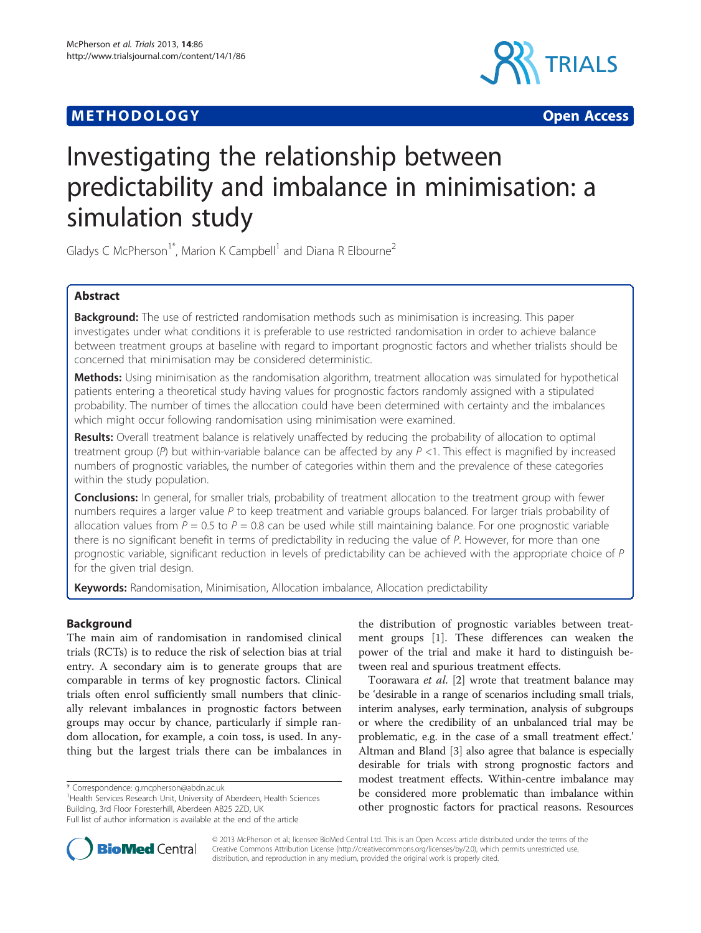# **METHODOLOGY CONSUMING ACCESS**



# Investigating the relationship between predictability and imbalance in minimisation: a simulation study

Gladys C McPherson<sup>1\*</sup>, Marion K Campbell<sup>1</sup> and Diana R Elbourne<sup>2</sup>

# Abstract

Background: The use of restricted randomisation methods such as minimisation is increasing. This paper investigates under what conditions it is preferable to use restricted randomisation in order to achieve balance between treatment groups at baseline with regard to important prognostic factors and whether trialists should be concerned that minimisation may be considered deterministic.

Methods: Using minimisation as the randomisation algorithm, treatment allocation was simulated for hypothetical patients entering a theoretical study having values for prognostic factors randomly assigned with a stipulated probability. The number of times the allocation could have been determined with certainty and the imbalances which might occur following randomisation using minimisation were examined.

Results: Overall treatment balance is relatively unaffected by reducing the probability of allocation to optimal treatment group  $(P)$  but within-variable balance can be affected by any  $P$  <1. This effect is magnified by increased numbers of prognostic variables, the number of categories within them and the prevalence of these categories within the study population.

**Conclusions:** In general, for smaller trials, probability of treatment allocation to the treatment group with fewer numbers requires a larger value P to keep treatment and variable groups balanced. For larger trials probability of allocation values from  $P = 0.5$  to  $P = 0.8$  can be used while still maintaining balance. For one prognostic variable there is no significant benefit in terms of predictability in reducing the value of P. However, for more than one prognostic variable, significant reduction in levels of predictability can be achieved with the appropriate choice of P for the given trial design.

Keywords: Randomisation, Minimisation, Allocation imbalance, Allocation predictability

# Background

The main aim of randomisation in randomised clinical trials (RCTs) is to reduce the risk of selection bias at trial entry. A secondary aim is to generate groups that are comparable in terms of key prognostic factors. Clinical trials often enrol sufficiently small numbers that clinically relevant imbalances in prognostic factors between groups may occur by chance, particularly if simple random allocation, for example, a coin toss, is used. In anything but the largest trials there can be imbalances in

\* Correspondence: [g.mcpherson@abdn.ac.uk](mailto:g.mcpherson@abdn.ac.uk) <sup>1</sup>

<sup>1</sup> Health Services Research Unit, University of Aberdeen, Health Sciences Building, 3rd Floor Foresterhill, Aberdeen AB25 2ZD, UK

the distribution of prognostic variables between treatment groups [[1\]](#page-11-0). These differences can weaken the power of the trial and make it hard to distinguish between real and spurious treatment effects.

Toorawara et al. [\[2](#page-11-0)] wrote that treatment balance may be 'desirable in a range of scenarios including small trials, interim analyses, early termination, analysis of subgroups or where the credibility of an unbalanced trial may be problematic, e.g. in the case of a small treatment effect.' Altman and Bland [\[3](#page-11-0)] also agree that balance is especially desirable for trials with strong prognostic factors and modest treatment effects. Within-centre imbalance may be considered more problematic than imbalance within other prognostic factors for practical reasons. Resources



© 2013 McPherson et al.; licensee BioMed Central Ltd. This is an Open Access article distributed under the terms of the Creative Commons Attribution License (<http://creativecommons.org/licenses/by/2.0>), which permits unrestricted use, distribution, and reproduction in any medium, provided the original work is properly cited.

Full list of author information is available at the end of the article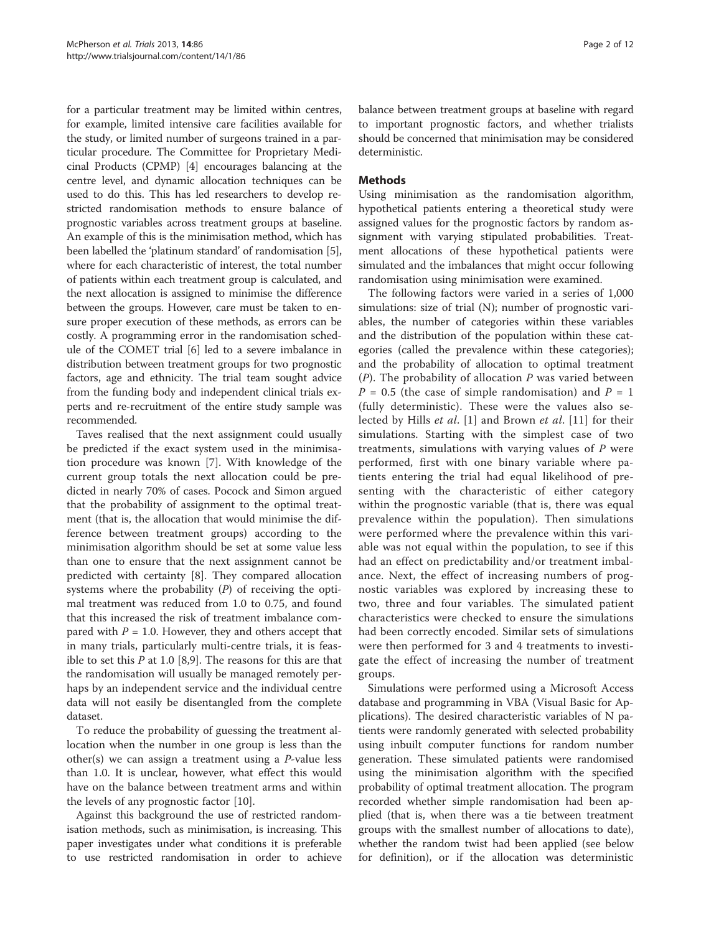for a particular treatment may be limited within centres, for example, limited intensive care facilities available for the study, or limited number of surgeons trained in a particular procedure. The Committee for Proprietary Medicinal Products (CPMP) [[4\]](#page-11-0) encourages balancing at the centre level, and dynamic allocation techniques can be used to do this. This has led researchers to develop restricted randomisation methods to ensure balance of prognostic variables across treatment groups at baseline. An example of this is the minimisation method, which has been labelled the 'platinum standard' of randomisation [[5](#page-11-0)], where for each characteristic of interest, the total number of patients within each treatment group is calculated, and the next allocation is assigned to minimise the difference between the groups. However, care must be taken to ensure proper execution of these methods, as errors can be costly. A programming error in the randomisation schedule of the COMET trial [\[6](#page-11-0)] led to a severe imbalance in distribution between treatment groups for two prognostic factors, age and ethnicity. The trial team sought advice from the funding body and independent clinical trials experts and re-recruitment of the entire study sample was recommended.

Taves realised that the next assignment could usually be predicted if the exact system used in the minimisation procedure was known [[7\]](#page-11-0). With knowledge of the current group totals the next allocation could be predicted in nearly 70% of cases. Pocock and Simon argued that the probability of assignment to the optimal treatment (that is, the allocation that would minimise the difference between treatment groups) according to the minimisation algorithm should be set at some value less than one to ensure that the next assignment cannot be predicted with certainty [[8](#page-11-0)]. They compared allocation systems where the probability  $(P)$  of receiving the optimal treatment was reduced from 1.0 to 0.75, and found that this increased the risk of treatment imbalance compared with  $P = 1.0$ . However, they and others accept that in many trials, particularly multi-centre trials, it is feasible to set this  $P$  at 1.0 [\[8,9](#page-11-0)]. The reasons for this are that the randomisation will usually be managed remotely perhaps by an independent service and the individual centre data will not easily be disentangled from the complete dataset.

To reduce the probability of guessing the treatment allocation when the number in one group is less than the other(s) we can assign a treatment using a  $P$ -value less than 1.0. It is unclear, however, what effect this would have on the balance between treatment arms and within the levels of any prognostic factor [[10](#page-11-0)].

Against this background the use of restricted randomisation methods, such as minimisation, is increasing. This paper investigates under what conditions it is preferable to use restricted randomisation in order to achieve balance between treatment groups at baseline with regard to important prognostic factors, and whether trialists should be concerned that minimisation may be considered deterministic.

# Methods

Using minimisation as the randomisation algorithm, hypothetical patients entering a theoretical study were assigned values for the prognostic factors by random assignment with varying stipulated probabilities. Treatment allocations of these hypothetical patients were simulated and the imbalances that might occur following randomisation using minimisation were examined.

The following factors were varied in a series of 1,000 simulations: size of trial (N); number of prognostic variables, the number of categories within these variables and the distribution of the population within these categories (called the prevalence within these categories); and the probability of allocation to optimal treatment  $(P)$ . The probability of allocation P was varied between  $P = 0.5$  (the case of simple randomisation) and  $P = 1$ (fully deterministic). These were the values also selected by Hills et al. [\[1](#page-11-0)] and Brown et al. [[11\]](#page-11-0) for their simulations. Starting with the simplest case of two treatments, simulations with varying values of  $P$  were performed, first with one binary variable where patients entering the trial had equal likelihood of presenting with the characteristic of either category within the prognostic variable (that is, there was equal prevalence within the population). Then simulations were performed where the prevalence within this variable was not equal within the population, to see if this had an effect on predictability and/or treatment imbalance. Next, the effect of increasing numbers of prognostic variables was explored by increasing these to two, three and four variables. The simulated patient characteristics were checked to ensure the simulations had been correctly encoded. Similar sets of simulations were then performed for 3 and 4 treatments to investigate the effect of increasing the number of treatment groups.

Simulations were performed using a Microsoft Access database and programming in VBA (Visual Basic for Applications). The desired characteristic variables of N patients were randomly generated with selected probability using inbuilt computer functions for random number generation. These simulated patients were randomised using the minimisation algorithm with the specified probability of optimal treatment allocation. The program recorded whether simple randomisation had been applied (that is, when there was a tie between treatment groups with the smallest number of allocations to date), whether the random twist had been applied (see below for definition), or if the allocation was deterministic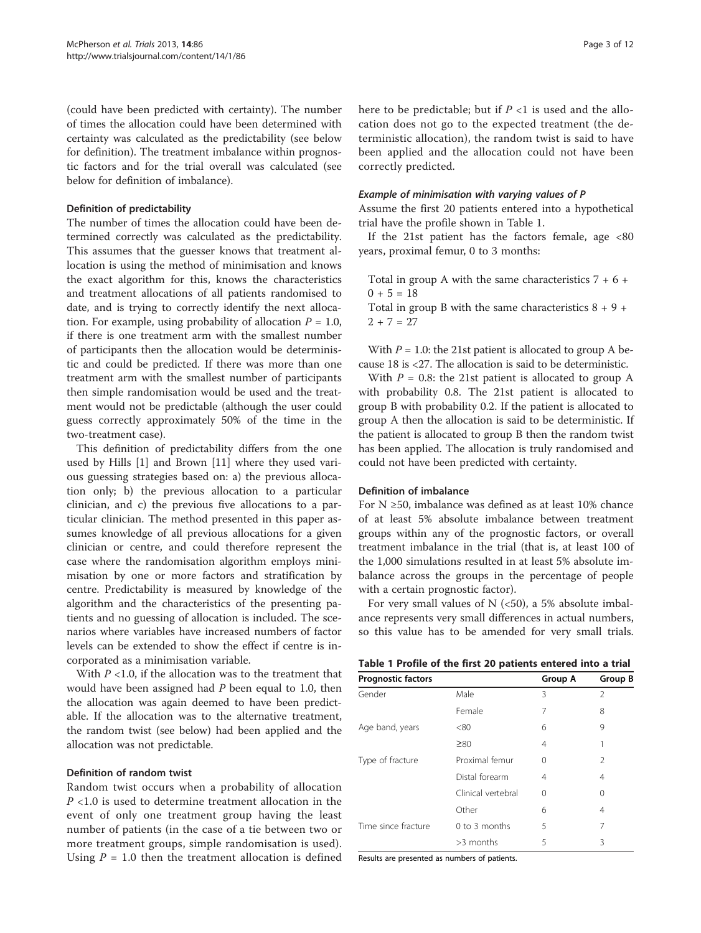(could have been predicted with certainty). The number of times the allocation could have been determined with certainty was calculated as the predictability (see below for definition). The treatment imbalance within prognostic factors and for the trial overall was calculated (see below for definition of imbalance).

# Definition of predictability

The number of times the allocation could have been determined correctly was calculated as the predictability. This assumes that the guesser knows that treatment allocation is using the method of minimisation and knows the exact algorithm for this, knows the characteristics and treatment allocations of all patients randomised to date, and is trying to correctly identify the next allocation. For example, using probability of allocation  $P = 1.0$ , if there is one treatment arm with the smallest number of participants then the allocation would be deterministic and could be predicted. If there was more than one treatment arm with the smallest number of participants then simple randomisation would be used and the treatment would not be predictable (although the user could guess correctly approximately 50% of the time in the two-treatment case).

This definition of predictability differs from the one used by Hills [\[1](#page-11-0)] and Brown [\[11\]](#page-11-0) where they used various guessing strategies based on: a) the previous allocation only; b) the previous allocation to a particular clinician, and c) the previous five allocations to a particular clinician. The method presented in this paper assumes knowledge of all previous allocations for a given clinician or centre, and could therefore represent the case where the randomisation algorithm employs minimisation by one or more factors and stratification by centre. Predictability is measured by knowledge of the algorithm and the characteristics of the presenting patients and no guessing of allocation is included. The scenarios where variables have increased numbers of factor levels can be extended to show the effect if centre is incorporated as a minimisation variable.

With  $P$  <1.0, if the allocation was to the treatment that would have been assigned had P been equal to 1.0, then the allocation was again deemed to have been predictable. If the allocation was to the alternative treatment, the random twist (see below) had been applied and the allocation was not predictable.

## Definition of random twist

Random twist occurs when a probability of allocation  $P$  <1.0 is used to determine treatment allocation in the event of only one treatment group having the least number of patients (in the case of a tie between two or more treatment groups, simple randomisation is used). Using  $P = 1.0$  then the treatment allocation is defined here to be predictable; but if  $P \le 1$  is used and the allocation does not go to the expected treatment (the deterministic allocation), the random twist is said to have been applied and the allocation could not have been correctly predicted.

Assume the first 20 patients entered into a hypothetical trial have the profile shown in Table 1.

If the  $21st$  patient has the factors female, age  $<80$ years, proximal femur, 0 to 3 months:

Total in group A with the same characteristics  $7 + 6 + 0 + 5 = 18$ 

Total in group B with the same characteristics  $8 + 9 +$  $2 + 7 = 27$ 

With  $P = 1.0$ : the 21st patient is allocated to group A because 18 is <27. The allocation is said to be deterministic.

With  $P = 0.8$ : the 21st patient is allocated to group A with probability 0.8. The 21st patient is allocated to group B with probability 0.2. If the patient is allocated to group A then the allocation is said to be deterministic. If the patient is allocated to group B then the random twist has been applied. The allocation is truly randomised and could not have been predicted with certainty.

## Definition of imbalance

For N ≥50, imbalance was defined as at least 10% chance of at least 5% absolute imbalance between treatment groups within any of the prognostic factors, or overall treatment imbalance in the trial (that is, at least 100 of the 1,000 simulations resulted in at least 5% absolute imbalance across the groups in the percentage of people with a certain prognostic factor).

For very small values of N  $(*50*)$ , a 5% absolute imbalance represents very small differences in actual numbers, so this value has to be amended for very small trials.

| Table 1 Profile of the first 20 patients entered into a trial |                    |                |
|---------------------------------------------------------------|--------------------|----------------|
| <b>Drognactic factors</b>                                     | $G$ roun $\Lambda$ | <b>Group</b> R |

| <b>Prognostic factors</b> |                    | Group A  | Group B        |
|---------------------------|--------------------|----------|----------------|
| Gender                    | Male               | 3        | $\mathfrak{D}$ |
|                           | Female             | 7        | 8              |
| Age band, years           | <80                | 6        | 9              |
|                           | $\geq 80$          | 4        | 1              |
| Type of fracture          | Proximal femur     | $\Omega$ | 2              |
|                           | Distal forearm     | 4        | 4              |
|                           | Clinical vertebral | $\Omega$ | 0              |
|                           | Other              | 6        | 4              |
| Time since fracture       | $0$ to 3 months    | 5        | 7              |
|                           | $>3$ months        | 5        | 3              |

Results are presented as numbers of patients.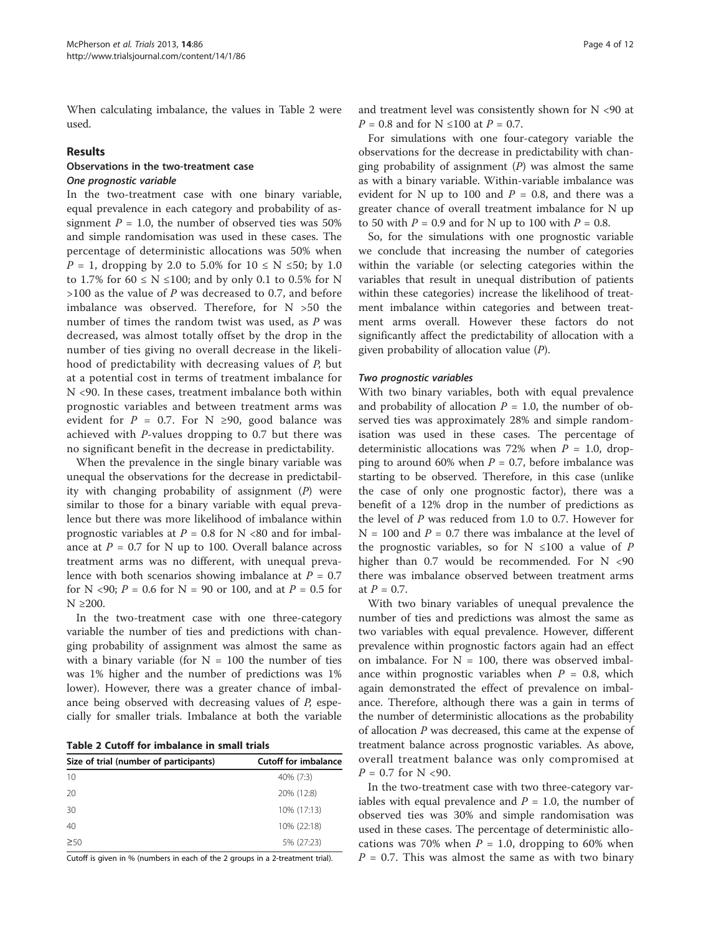When calculating imbalance, the values in Table 2 were used.

## Results

# Observations in the two-treatment case

In the two-treatment case with one binary variable, equal prevalence in each category and probability of assignment  $P = 1.0$ , the number of observed ties was 50% and simple randomisation was used in these cases. The percentage of deterministic allocations was 50% when  $P = 1$ , dropping by 2.0 to 5.0% for 10 ≤ N ≤50; by 1.0 to 1.7% for 60 ≤ N ≤100; and by only 0.1 to 0.5% for N  $>100$  as the value of P was decreased to 0.7, and before imbalance was observed. Therefore, for N >50 the number of times the random twist was used, as  $P$  was decreased, was almost totally offset by the drop in the number of ties giving no overall decrease in the likelihood of predictability with decreasing values of P, but at a potential cost in terms of treatment imbalance for N <90. In these cases, treatment imbalance both within prognostic variables and between treatment arms was evident for  $P = 0.7$ . For N ≥90, good balance was achieved with P-values dropping to 0.7 but there was no significant benefit in the decrease in predictability.

When the prevalence in the single binary variable was unequal the observations for the decrease in predictability with changing probability of assignment (P) were similar to those for a binary variable with equal prevalence but there was more likelihood of imbalance within prognostic variables at  $P = 0.8$  for N <80 and for imbalance at  $P = 0.7$  for N up to 100. Overall balance across treatment arms was no different, with unequal prevalence with both scenarios showing imbalance at  $P = 0.7$ for N <90;  $P = 0.6$  for N = 90 or 100, and at  $P = 0.5$  for  $N \geq 200$ .

In the two-treatment case with one three-category variable the number of ties and predictions with changing probability of assignment was almost the same as with a binary variable (for  $N = 100$  the number of ties was 1% higher and the number of predictions was 1% lower). However, there was a greater chance of imbalance being observed with decreasing values of P, especially for smaller trials. Imbalance at both the variable

| Table 2 Cutoff for imbalance in small trials |
|----------------------------------------------|
|----------------------------------------------|

| Size of trial (number of participants) | Cutoff for imbalance |
|----------------------------------------|----------------------|
| 10                                     | 40% (7:3)            |
| 20                                     | 20% (12:8)           |
| 30                                     | 10% (17:13)          |
| 40                                     | 10% (22:18)          |
| $\geq 50$                              | 5% (27:23)           |

Cutoff is given in % (numbers in each of the 2 groups in a 2-treatment trial).

and treatment level was consistently shown for N <90 at  $P = 0.8$  and for N ≤100 at  $P = 0.7$ .

For simulations with one four-category variable the observations for the decrease in predictability with changing probability of assignment  $(P)$  was almost the same as with a binary variable. Within-variable imbalance was evident for N up to 100 and  $P = 0.8$ , and there was a greater chance of overall treatment imbalance for N up to 50 with  $P = 0.9$  and for N up to 100 with  $P = 0.8$ .

So, for the simulations with one prognostic variable we conclude that increasing the number of categories within the variable (or selecting categories within the variables that result in unequal distribution of patients within these categories) increase the likelihood of treatment imbalance within categories and between treatment arms overall. However these factors do not significantly affect the predictability of allocation with a given probability of allocation value  $(P)$ .

With two binary variables, both with equal prevalence and probability of allocation  $P = 1.0$ , the number of observed ties was approximately 28% and simple randomisation was used in these cases. The percentage of deterministic allocations was 72% when  $P = 1.0$ , dropping to around 60% when  $P = 0.7$ , before imbalance was starting to be observed. Therefore, in this case (unlike the case of only one prognostic factor), there was a benefit of a 12% drop in the number of predictions as the level of P was reduced from 1.0 to 0.7. However for  $N = 100$  and  $P = 0.7$  there was imbalance at the level of the prognostic variables, so for  $N \leq 100$  a value of P higher than 0.7 would be recommended. For N <90 there was imbalance observed between treatment arms at  $P = 0.7$ .

With two binary variables of unequal prevalence the number of ties and predictions was almost the same as two variables with equal prevalence. However, different prevalence within prognostic factors again had an effect on imbalance. For  $N = 100$ , there was observed imbalance within prognostic variables when  $P = 0.8$ , which again demonstrated the effect of prevalence on imbalance. Therefore, although there was a gain in terms of the number of deterministic allocations as the probability of allocation P was decreased, this came at the expense of treatment balance across prognostic variables. As above, overall treatment balance was only compromised at  $P = 0.7$  for N <90.

In the two-treatment case with two three-category variables with equal prevalence and  $P = 1.0$ , the number of observed ties was 30% and simple randomisation was used in these cases. The percentage of deterministic allocations was 70% when  $P = 1.0$ , dropping to 60% when  $P = 0.7$ . This was almost the same as with two binary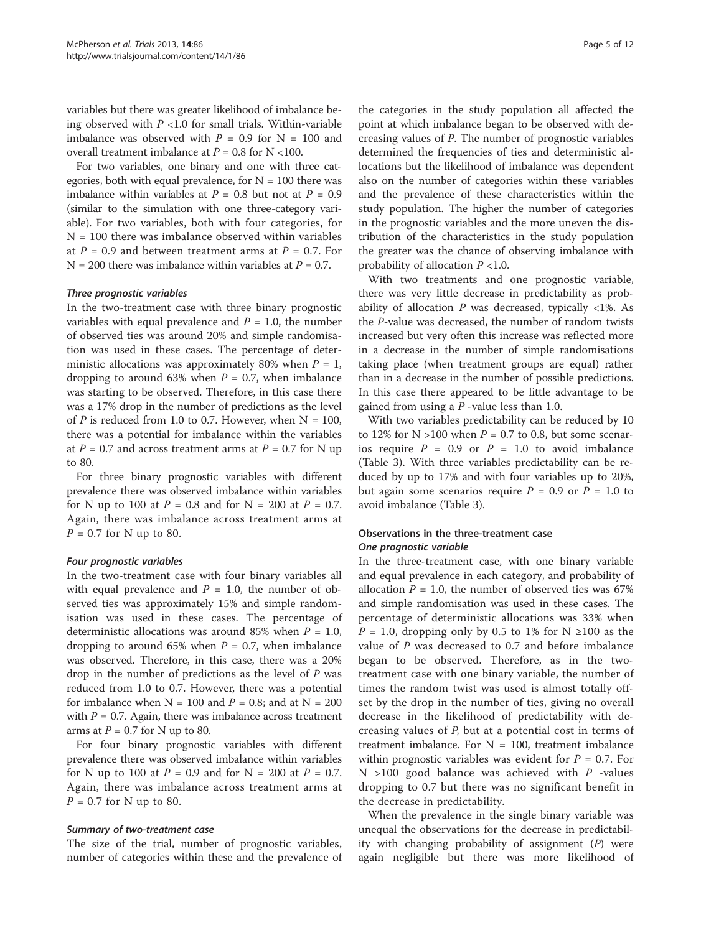variables but there was greater likelihood of imbalance being observed with  $P \le 1.0$  for small trials. Within-variable imbalance was observed with  $P = 0.9$  for  $N = 100$  and overall treatment imbalance at  $P = 0.8$  for N <100.

For two variables, one binary and one with three categories, both with equal prevalence, for  $N = 100$  there was imbalance within variables at  $P = 0.8$  but not at  $P = 0.9$ (similar to the simulation with one three-category variable). For two variables, both with four categories, for  $N = 100$  there was imbalance observed within variables at  $P = 0.9$  and between treatment arms at  $P = 0.7$ . For  $N = 200$  there was imbalance within variables at  $P = 0.7$ .

In the two-treatment case with three binary prognostic variables with equal prevalence and  $P = 1.0$ , the number of observed ties was around 20% and simple randomisation was used in these cases. The percentage of deterministic allocations was approximately 80% when  $P = 1$ , dropping to around 63% when  $P = 0.7$ , when imbalance was starting to be observed. Therefore, in this case there was a 17% drop in the number of predictions as the level of P is reduced from 1.0 to 0.7. However, when  $N = 100$ , there was a potential for imbalance within the variables at  $P = 0.7$  and across treatment arms at  $P = 0.7$  for N up to 80.

For three binary prognostic variables with different prevalence there was observed imbalance within variables for N up to 100 at  $P = 0.8$  and for N = 200 at  $P = 0.7$ . Again, there was imbalance across treatment arms at  $P = 0.7$  for N up to 80.

In the two-treatment case with four binary variables all with equal prevalence and  $P = 1.0$ , the number of observed ties was approximately 15% and simple randomisation was used in these cases. The percentage of deterministic allocations was around 85% when  $P = 1.0$ , dropping to around 65% when  $P = 0.7$ , when imbalance was observed. Therefore, in this case, there was a 20% drop in the number of predictions as the level of  $P$  was reduced from 1.0 to 0.7. However, there was a potential for imbalance when  $N = 100$  and  $P = 0.8$ ; and at  $N = 200$ with  $P = 0.7$ . Again, there was imbalance across treatment arms at  $P = 0.7$  for N up to 80.

For four binary prognostic variables with different prevalence there was observed imbalance within variables for N up to 100 at  $P = 0.9$  and for N = 200 at  $P = 0.7$ . Again, there was imbalance across treatment arms at  $P = 0.7$  for N up to 80.

The size of the trial, number of prognostic variables, number of categories within these and the prevalence of

the categories in the study population all affected the point at which imbalance began to be observed with decreasing values of P. The number of prognostic variables determined the frequencies of ties and deterministic allocations but the likelihood of imbalance was dependent also on the number of categories within these variables and the prevalence of these characteristics within the study population. The higher the number of categories in the prognostic variables and the more uneven the distribution of the characteristics in the study population the greater was the chance of observing imbalance with probability of allocation  $P < 1.0$ .

With two treatments and one prognostic variable, there was very little decrease in predictability as probability of allocation  $P$  was decreased, typically <1%. As the P-value was decreased, the number of random twists increased but very often this increase was reflected more in a decrease in the number of simple randomisations taking place (when treatment groups are equal) rather than in a decrease in the number of possible predictions. In this case there appeared to be little advantage to be gained from using a  *-value less than 1.0.* 

With two variables predictability can be reduced by 10 to 12% for N >100 when  $P = 0.7$  to 0.8, but some scenarios require  $P = 0.9$  or  $P = 1.0$  to avoid imbalance (Table [3\)](#page-5-0). With three variables predictability can be reduced by up to 17% and with four variables up to 20%, but again some scenarios require  $P = 0.9$  or  $P = 1.0$  to avoid imbalance (Table [3\)](#page-5-0).

# Observations in the three-treatment case

In the three-treatment case, with one binary variable and equal prevalence in each category, and probability of allocation  $P = 1.0$ , the number of observed ties was 67% and simple randomisation was used in these cases. The percentage of deterministic allocations was 33% when  $P = 1.0$ , dropping only by 0.5 to 1% for N ≥100 as the value of P was decreased to 0.7 and before imbalance began to be observed. Therefore, as in the twotreatment case with one binary variable, the number of times the random twist was used is almost totally offset by the drop in the number of ties, giving no overall decrease in the likelihood of predictability with decreasing values of P, but at a potential cost in terms of treatment imbalance. For  $N = 100$ , treatment imbalance within prognostic variables was evident for  $P = 0.7$ . For  $N > 100$  good balance was achieved with P -values dropping to 0.7 but there was no significant benefit in the decrease in predictability.

When the prevalence in the single binary variable was unequal the observations for the decrease in predictability with changing probability of assignment (P) were again negligible but there was more likelihood of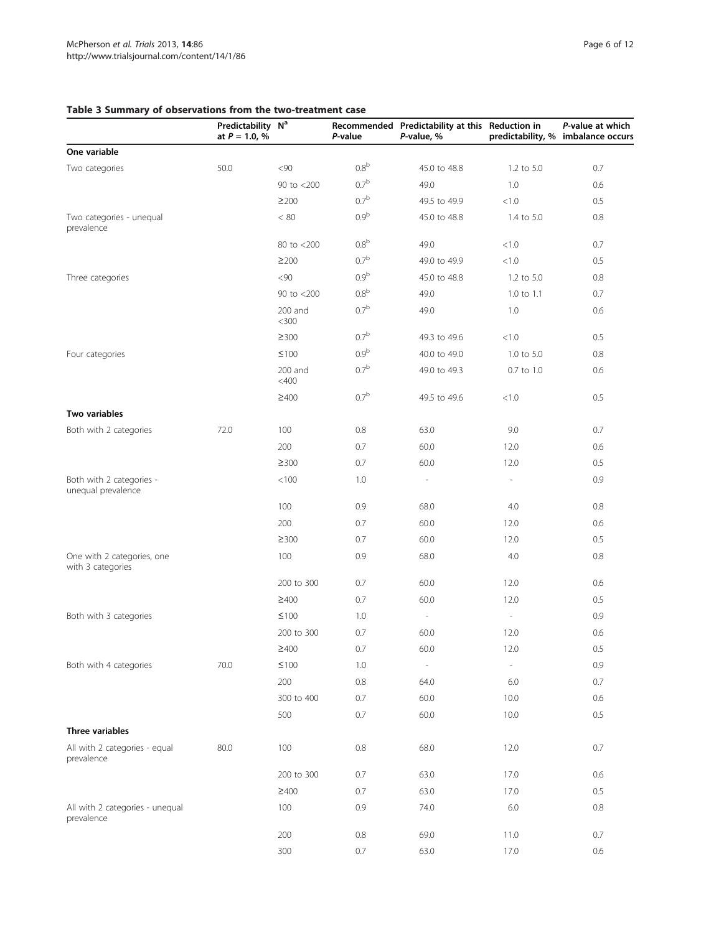# <span id="page-5-0"></span>Table 3 Summary of observations from the two-treatment case

|                                                 | Predictability N <sup>a</sup><br>at $P = 1.0, %$ |                      | P-value          | Recommended Predictability at this Reduction in<br>P-value, % |                          | P-value at which<br>predictability, % imbalance occurs |
|-------------------------------------------------|--------------------------------------------------|----------------------|------------------|---------------------------------------------------------------|--------------------------|--------------------------------------------------------|
| One variable                                    |                                                  |                      |                  |                                                               |                          |                                                        |
| Two categories                                  | 50.0                                             | <90                  | 0.8 <sup>b</sup> | 45.0 to 48.8                                                  | 1.2 to 5.0               | 0.7                                                    |
|                                                 |                                                  | 90 to <200           | 0.7 <sup>b</sup> | 49.0                                                          | 1.0                      | 0.6                                                    |
|                                                 |                                                  | $\geq$ 200           | 0.7 <sup>b</sup> | 49.5 to 49.9                                                  | < 1.0                    | 0.5                                                    |
| Two categories - unequal<br>prevalence          |                                                  | $< 80\,$             | 0.9 <sup>b</sup> | 45.0 to 48.8                                                  | 1.4 to 5.0               | 0.8                                                    |
|                                                 |                                                  | 80 to <200           | 0.8 <sup>b</sup> | 49.0                                                          | < 1.0                    | 0.7                                                    |
|                                                 |                                                  | $\geq$ 200           | 0.7 <sup>b</sup> | 49.0 to 49.9                                                  | < 1.0                    | 0.5                                                    |
| Three categories                                |                                                  | <90                  | 0.9 <sup>b</sup> | 45.0 to 48.8                                                  | 1.2 to 5.0               | 0.8                                                    |
|                                                 |                                                  | 90 to <200           | 0.8 <sup>b</sup> | 49.0                                                          | 1.0 to 1.1               | 0.7                                                    |
|                                                 |                                                  | $200$ and<br>$<$ 300 | 0.7 <sup>b</sup> | 49.0                                                          | 1.0                      | 0.6                                                    |
|                                                 |                                                  | $\geq$ 300           | 0.7 <sup>b</sup> | 49.3 to 49.6                                                  | < 1.0                    | 0.5                                                    |
| Four categories                                 |                                                  | $≤100$               | 0.9 <sup>b</sup> | 40.0 to 49.0                                                  | 1.0 to 5.0               | 0.8                                                    |
|                                                 |                                                  | 200 and<br>$<$ 400   | 0.7 <sup>b</sup> | 49.0 to 49.3                                                  | 0.7 to 1.0               | 0.6                                                    |
|                                                 |                                                  | $\geq 400$           | 0.7 <sup>b</sup> | 49.5 to 49.6                                                  | < 1.0                    | 0.5                                                    |
| Two variables                                   |                                                  |                      |                  |                                                               |                          |                                                        |
| Both with 2 categories                          | 72.0                                             | 100                  | 0.8              | 63.0                                                          | 9.0                      | 0.7                                                    |
|                                                 |                                                  | 200                  | 0.7              | 60.0                                                          | 12.0                     | 0.6                                                    |
|                                                 |                                                  | $\geq$ 300           | 0.7              | 60.0                                                          | 12.0                     | 0.5                                                    |
| Both with 2 categories -<br>unequal prevalence  |                                                  | $<100$               | 1.0              | $\overline{\phantom{a}}$                                      | $\overline{\phantom{a}}$ | 0.9                                                    |
|                                                 |                                                  | 100                  | 0.9              | 68.0                                                          | 4.0                      | 0.8                                                    |
|                                                 |                                                  | 200                  | 0.7              | 60.0                                                          | 12.0                     | 0.6                                                    |
|                                                 |                                                  | $\geq$ 300           | 0.7              | 60.0                                                          | 12.0                     | 0.5                                                    |
| One with 2 categories, one<br>with 3 categories |                                                  | 100                  | 0.9              | 68.0                                                          | 4.0                      | 0.8                                                    |
|                                                 |                                                  | 200 to 300           | 0.7              | 60.0                                                          | 12.0                     | 0.6                                                    |
|                                                 |                                                  | $\geq 400$           | 0.7              | 60.0                                                          | 12.0                     | 0.5                                                    |
| Both with 3 categories                          |                                                  | $≤100$               | 1.0              | $\overline{\phantom{a}}$                                      |                          | 0.9                                                    |
|                                                 |                                                  | 200 to 300           | 0.7              | 60.0                                                          | 12.0                     | 0.6                                                    |
|                                                 |                                                  | $\geq$ 400           | 0.7              | 60.0                                                          | 12.0                     | 0.5                                                    |
| Both with 4 categories                          | 70.0                                             | $≤100$               | 1.0              | $\overline{\phantom{a}}$                                      |                          | 0.9                                                    |
|                                                 |                                                  | 200                  | $0.8\,$          | 64.0                                                          | 6.0                      | 0.7                                                    |
|                                                 |                                                  | 300 to 400           | 0.7              | 60.0                                                          | 10.0                     | 0.6                                                    |
|                                                 |                                                  | 500                  | 0.7              | 60.0                                                          | 10.0                     | 0.5                                                    |
| <b>Three variables</b>                          |                                                  |                      |                  |                                                               |                          |                                                        |
| All with 2 categories - equal<br>prevalence     | 80.0                                             | 100                  | $0.8\,$          | 68.0                                                          | 12.0                     | 0.7                                                    |
|                                                 |                                                  | 200 to 300           | 0.7              | 63.0                                                          | 17.0                     | 0.6                                                    |
|                                                 |                                                  | $\geq 400$           | 0.7              | 63.0                                                          | 17.0                     | 0.5                                                    |
| All with 2 categories - unequal<br>prevalence   |                                                  | 100                  | 0.9              | 74.0                                                          | 6.0                      | $0.8\,$                                                |
|                                                 |                                                  | 200                  | $0.8\,$          | 69.0                                                          | 11.0                     | 0.7                                                    |
|                                                 |                                                  | 300                  | 0.7              | 63.0                                                          | 17.0                     | 0.6                                                    |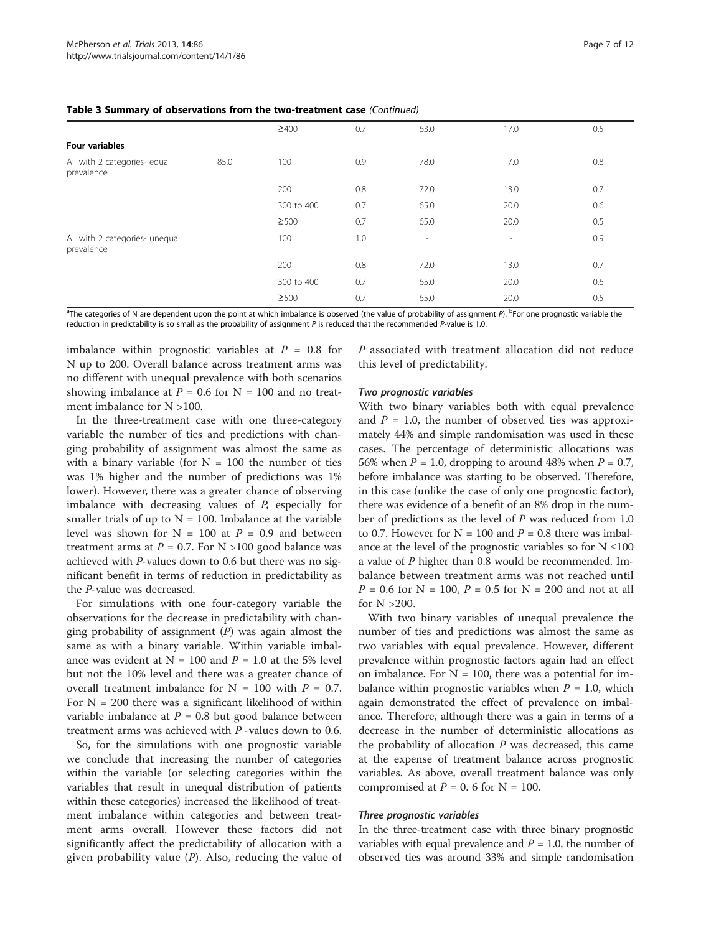| Table 3 Summary of observations from the two-treatment case (Continued) |  |
|-------------------------------------------------------------------------|--|
|-------------------------------------------------------------------------|--|

|                                              |      | $\geq 400$ | 0.7 | 63.0   | 17.0                     | 0.5 |
|----------------------------------------------|------|------------|-----|--------|--------------------------|-----|
| Four variables                               |      |            |     |        |                          |     |
| All with 2 categories- equal<br>prevalence   | 85.0 | 100        | 0.9 | 78.0   | 7.0                      | 0.8 |
|                                              |      | 200        | 0.8 | 72.0   | 13.0                     | 0.7 |
|                                              |      | 300 to 400 | 0.7 | 65.0   | 20.0                     | 0.6 |
|                                              |      | $\geq$ 500 | 0.7 | 65.0   | 20.0                     | 0.5 |
| All with 2 categories- unequal<br>prevalence |      | 100        | 1.0 | $\sim$ | $\overline{\phantom{a}}$ | 0.9 |
|                                              |      | 200        | 0.8 | 72.0   | 13.0                     | 0.7 |
|                                              |      | 300 to 400 | 0.7 | 65.0   | 20.0                     | 0.6 |
|                                              |      | $\geq$ 500 | 0.7 | 65.0   | 20.0                     | 0.5 |

<sup>a</sup>The categories of N are dependent upon the point at which imbalance is observed (the value of probability of assignment P). <sup>b</sup>For one prognostic variable the reduction in predictability is so small as the probability of assignment  $P$  is reduced that the recommended P-value is 1.0.

imbalance within prognostic variables at  $P = 0.8$  for N up to 200. Overall balance across treatment arms was no different with unequal prevalence with both scenarios showing imbalance at  $P = 0.6$  for N = 100 and no treatment imbalance for N >100.

In the three-treatment case with one three-category variable the number of ties and predictions with changing probability of assignment was almost the same as with a binary variable (for  $N = 100$  the number of ties was 1% higher and the number of predictions was 1% lower). However, there was a greater chance of observing imbalance with decreasing values of P, especially for smaller trials of up to  $N = 100$ . Imbalance at the variable level was shown for  $N = 100$  at  $P = 0.9$  and between treatment arms at  $P = 0.7$ . For N >100 good balance was achieved with P-values down to 0.6 but there was no significant benefit in terms of reduction in predictability as the P-value was decreased.

For simulations with one four-category variable the observations for the decrease in predictability with changing probability of assignment  $(P)$  was again almost the same as with a binary variable. Within variable imbalance was evident at  $N = 100$  and  $P = 1.0$  at the 5% level but not the 10% level and there was a greater chance of overall treatment imbalance for  $N = 100$  with  $P = 0.7$ . For  $N = 200$  there was a significant likelihood of within variable imbalance at  $P = 0.8$  but good balance between treatment arms was achieved with P -values down to 0.6.

So, for the simulations with one prognostic variable we conclude that increasing the number of categories within the variable (or selecting categories within the variables that result in unequal distribution of patients within these categories) increased the likelihood of treatment imbalance within categories and between treatment arms overall. However these factors did not significantly affect the predictability of allocation with a given probability value  $(P)$ . Also, reducing the value of P associated with treatment allocation did not reduce this level of predictability.

With two binary variables both with equal prevalence and  $P = 1.0$ , the number of observed ties was approximately 44% and simple randomisation was used in these cases. The percentage of deterministic allocations was 56% when  $P = 1.0$ , dropping to around 48% when  $P = 0.7$ , before imbalance was starting to be observed. Therefore, in this case (unlike the case of only one prognostic factor), there was evidence of a benefit of an 8% drop in the number of predictions as the level of P was reduced from 1.0 to 0.7. However for  $N = 100$  and  $P = 0.8$  there was imbalance at the level of the prognostic variables so for  $N \leq 100$ a value of P higher than 0.8 would be recommended. Imbalance between treatment arms was not reached until  $P = 0.6$  for N = 100,  $P = 0.5$  for N = 200 and not at all for N >200.

With two binary variables of unequal prevalence the number of ties and predictions was almost the same as two variables with equal prevalence. However, different prevalence within prognostic factors again had an effect on imbalance. For  $N = 100$ , there was a potential for imbalance within prognostic variables when  $P = 1.0$ , which again demonstrated the effect of prevalence on imbalance. Therefore, although there was a gain in terms of a decrease in the number of deterministic allocations as the probability of allocation  $P$  was decreased, this came at the expense of treatment balance across prognostic variables. As above, overall treatment balance was only compromised at  $P = 0$ . 6 for  $N = 100$ .

In the three-treatment case with three binary prognostic variables with equal prevalence and  $P = 1.0$ , the number of observed ties was around 33% and simple randomisation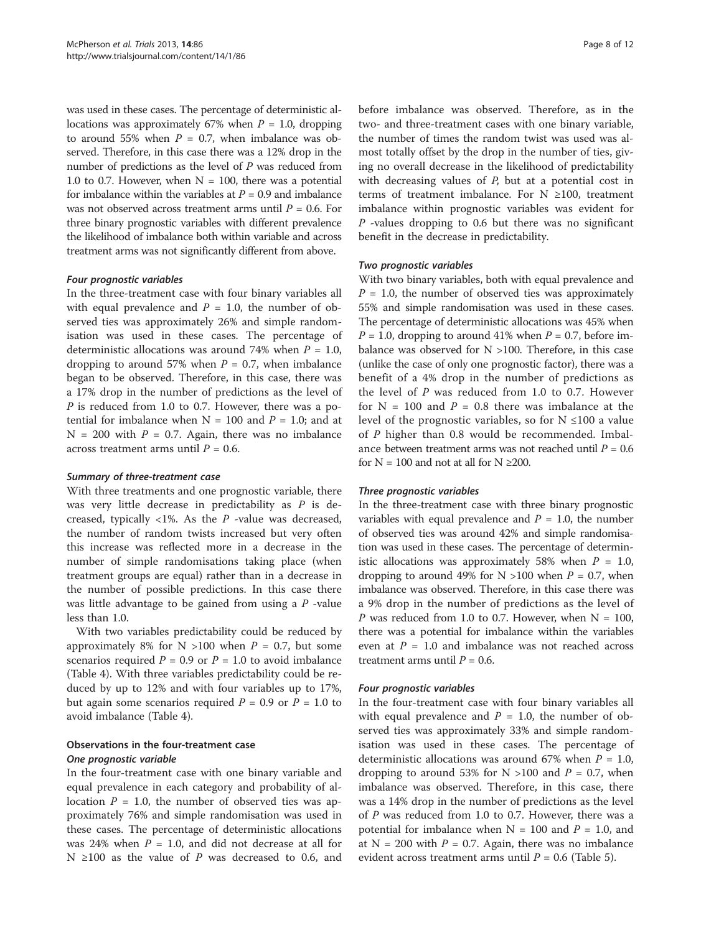was used in these cases. The percentage of deterministic allocations was approximately 67% when  $P = 1.0$ , dropping to around 55% when  $P = 0.7$ , when imbalance was observed. Therefore, in this case there was a 12% drop in the number of predictions as the level of P was reduced from 1.0 to 0.7. However, when  $N = 100$ , there was a potential for imbalance within the variables at  $P = 0.9$  and imbalance was not observed across treatment arms until  $P = 0.6$ . For three binary prognostic variables with different prevalence the likelihood of imbalance both within variable and across treatment arms was not significantly different from above.

In the three-treatment case with four binary variables all with equal prevalence and  $P = 1.0$ , the number of observed ties was approximately 26% and simple randomisation was used in these cases. The percentage of deterministic allocations was around 74% when  $P = 1.0$ , dropping to around 57% when  $P = 0.7$ , when imbalance began to be observed. Therefore, in this case, there was a 17% drop in the number of predictions as the level of P is reduced from 1.0 to 0.7. However, there was a potential for imbalance when  $N = 100$  and  $P = 1.0$ ; and at  $N = 200$  with  $P = 0.7$ . Again, there was no imbalance across treatment arms until  $P = 0.6$ .

With three treatments and one prognostic variable, there was very little decrease in predictability as P is decreased, typically  $\langle 1\% \rangle$ . As the P -value was decreased, the number of random twists increased but very often this increase was reflected more in a decrease in the number of simple randomisations taking place (when treatment groups are equal) rather than in a decrease in the number of possible predictions. In this case there was little advantage to be gained from using a P -value less than 1.0.

With two variables predictability could be reduced by approximately 8% for N >100 when  $P = 0.7$ , but some scenarios required  $P = 0.9$  or  $P = 1.0$  to avoid imbalance (Table [4\)](#page-8-0). With three variables predictability could be reduced by up to 12% and with four variables up to 17%, but again some scenarios required  $P = 0.9$  or  $P = 1.0$  to avoid imbalance (Table [4\)](#page-8-0).

# Observations in the four-treatment case

In the four-treatment case with one binary variable and equal prevalence in each category and probability of allocation  $P = 1.0$ , the number of observed ties was approximately 76% and simple randomisation was used in these cases. The percentage of deterministic allocations was 24% when  $P = 1.0$ , and did not decrease at all for N ≥100 as the value of P was decreased to 0.6, and

before imbalance was observed. Therefore, as in the two- and three-treatment cases with one binary variable, the number of times the random twist was used was almost totally offset by the drop in the number of ties, giving no overall decrease in the likelihood of predictability with decreasing values of  $P$ , but at a potential cost in terms of treatment imbalance. For  $N \geq 100$ , treatment imbalance within prognostic variables was evident for  $P$  -values dropping to 0.6 but there was no significant benefit in the decrease in predictability.

With two binary variables, both with equal prevalence and  $P = 1.0$ , the number of observed ties was approximately 55% and simple randomisation was used in these cases. The percentage of deterministic allocations was 45% when  $P = 1.0$ , dropping to around 41% when  $P = 0.7$ , before imbalance was observed for N >100. Therefore, in this case (unlike the case of only one prognostic factor), there was a benefit of a 4% drop in the number of predictions as the level of  $P$  was reduced from 1.0 to 0.7. However for  $N = 100$  and  $P = 0.8$  there was imbalance at the level of the prognostic variables, so for  $N \leq 100$  a value of P higher than 0.8 would be recommended. Imbalance between treatment arms was not reached until  $P = 0.6$ for  $N = 100$  and not at all for  $N \ge 200$ .

In the three-treatment case with three binary prognostic variables with equal prevalence and  $P = 1.0$ , the number of observed ties was around 42% and simple randomisation was used in these cases. The percentage of deterministic allocations was approximately 58% when  $P = 1.0$ , dropping to around 49% for N >100 when  $P = 0.7$ , when imbalance was observed. Therefore, in this case there was a 9% drop in the number of predictions as the level of *P* was reduced from 1.0 to 0.7. However, when  $N = 100$ , there was a potential for imbalance within the variables even at  $P = 1.0$  and imbalance was not reached across treatment arms until  $P = 0.6$ .

In the four-treatment case with four binary variables all with equal prevalence and  $P = 1.0$ , the number of observed ties was approximately 33% and simple randomisation was used in these cases. The percentage of deterministic allocations was around 67% when  $P = 1.0$ , dropping to around 53% for N  $>$ 100 and P = 0.7, when imbalance was observed. Therefore, in this case, there was a 14% drop in the number of predictions as the level of P was reduced from 1.0 to 0.7. However, there was a potential for imbalance when  $N = 100$  and  $P = 1.0$ , and at  $N = 200$  with  $P = 0.7$ . Again, there was no imbalance evident across treatment arms until  $P = 0.6$  (Table [5\)](#page-9-0).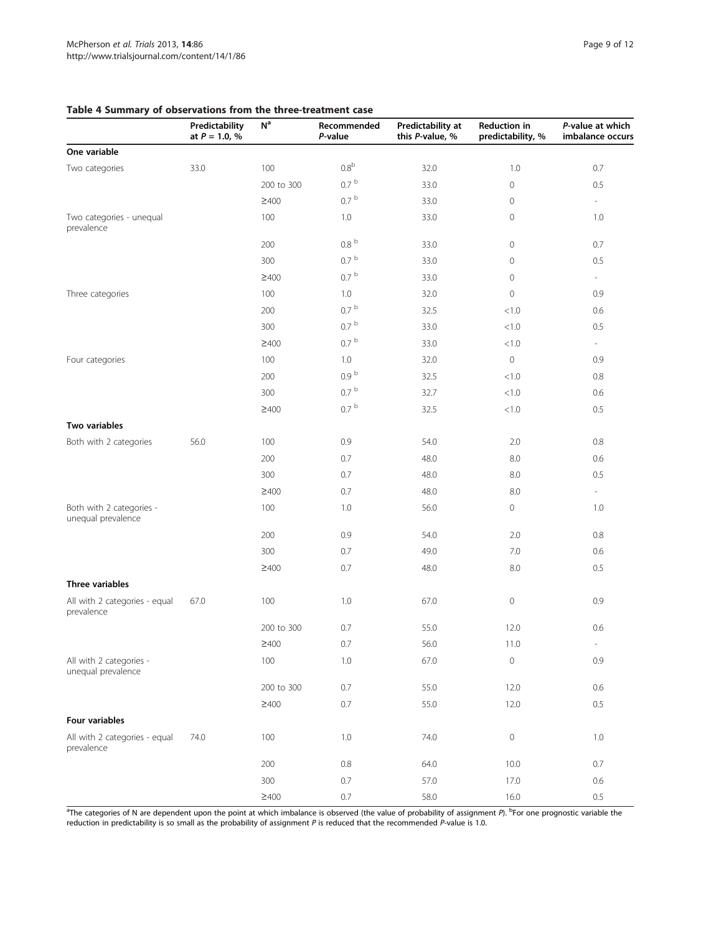# <span id="page-8-0"></span>Table 4 Summary of observations from the three-treatment case

|                                                | Predictability<br>at $P = 1.0, %$ | N <sup>a</sup> | Recommended<br>P-value | Predictability at<br>this P-value, % | <b>Reduction in</b><br>predictability, % | P-value at which<br>imbalance occurs |
|------------------------------------------------|-----------------------------------|----------------|------------------------|--------------------------------------|------------------------------------------|--------------------------------------|
| One variable                                   |                                   |                |                        |                                      |                                          |                                      |
| Two categories                                 | 33.0                              | 100            | $0.8^{\rm b}$          | 32.0                                 | 1.0                                      | 0.7                                  |
|                                                |                                   | 200 to 300     | 0.7 <sup>b</sup>       | 33.0                                 | $\circ$                                  | 0.5                                  |
|                                                |                                   | $\geq 400$     | 0.7h                   | 33.0                                 | $\mathbf 0$                              | $\overline{\phantom{a}}$             |
| Two categories - unequal<br>prevalence         |                                   | 100            | 1.0                    | 33.0                                 | $\mathbf 0$                              | 1.0                                  |
|                                                |                                   | 200            | 0.8 <sup>b</sup>       | 33.0                                 | $\mathbf 0$                              | 0.7                                  |
|                                                |                                   | 300            | 0.7 <sup>b</sup>       | 33.0                                 | $\mathbf 0$                              | 0.5                                  |
|                                                |                                   | $\geq 400$     | 0.7 <sup>b</sup>       | 33.0                                 | $\mathbf 0$                              | $\overline{\phantom{a}}$             |
| Three categories                               |                                   | 100            | 1.0                    | 32.0                                 | $\mathbf 0$                              | 0.9                                  |
|                                                |                                   | 200            | 0.7 <sup>b</sup>       | 32.5                                 | < 1.0                                    | 0.6                                  |
|                                                |                                   | 300            | 0.7 <sup>b</sup>       | 33.0                                 | < 1.0                                    | 0.5                                  |
|                                                |                                   | $\geq 400$     | 0.7h                   | 33.0                                 | < 1.0                                    | $\overline{\phantom{a}}$             |
| Four categories                                |                                   | 100            | 1.0                    | 32.0                                 | $\circ$                                  | 0.9                                  |
|                                                |                                   | 200            | 0.9 <sup>b</sup>       | 32.5                                 | < 1.0                                    | 0.8                                  |
|                                                |                                   | 300            | 0.7h                   | 32.7                                 | < 1.0                                    | 0.6                                  |
|                                                |                                   | $\geq 400$     | 0.7 <sup>b</sup>       | 32.5                                 | < 1.0                                    | 0.5                                  |
| Two variables                                  |                                   |                |                        |                                      |                                          |                                      |
| Both with 2 categories                         | 56.0                              | 100            | 0.9                    | 54.0                                 | 2.0                                      | 0.8                                  |
|                                                |                                   | 200            | 0.7                    | 48.0                                 | 8.0                                      | 0.6                                  |
|                                                |                                   | 300            | 0.7                    | 48.0                                 | 8.0                                      | 0.5                                  |
|                                                |                                   | $\geq 400$     | 0.7                    | 48.0                                 | 8.0                                      | $\overline{\phantom{a}}$             |
| Both with 2 categories -<br>unequal prevalence |                                   | 100            | 1.0                    | 56.0                                 | $\circ$                                  | 1.0                                  |
|                                                |                                   | 200            | 0.9                    | 54.0                                 | 2.0                                      | 0.8                                  |
|                                                |                                   | 300            | 0.7                    | 49.0                                 | 7.0                                      | 0.6                                  |
|                                                |                                   | $\geq 400$     | 0.7                    | 48.0                                 | 8.0                                      | 0.5                                  |
| Three variables                                |                                   |                |                        |                                      |                                          |                                      |
| All with 2 categories - equal<br>prevalence    | 67.0                              | 100            | 1.0                    | 67.0                                 | $\mathbf 0$                              | 0.9                                  |
|                                                |                                   | 200 to 300     | 0.7                    | 55.0                                 | 12.0                                     | 0.6                                  |
|                                                |                                   | $\geq$ 400     | 0.7                    | 56.0                                 | 11.0                                     |                                      |
| All with 2 categories -<br>unequal prevalence  |                                   | 100            | 1.0                    | 67.0                                 | 0                                        | 0.9                                  |
|                                                |                                   | 200 to 300     | $0.7\,$                | 55.0                                 | 12.0                                     | 0.6                                  |
|                                                |                                   | $\geq 400$     | 0.7                    | 55.0                                 | 12.0                                     | 0.5                                  |
| Four variables                                 |                                   |                |                        |                                      |                                          |                                      |
| All with 2 categories - equal<br>prevalence    | 74.0                              | 100            | 1.0                    | 74.0                                 | $\,0\,$                                  | 1.0                                  |
|                                                |                                   | 200            | $0.8\,$                | 64.0                                 | 10.0                                     | 0.7                                  |
|                                                |                                   | 300            | 0.7                    | 57.0                                 | 17.0                                     | 0.6                                  |
|                                                |                                   | $\geq$ 400     | $0.7\,$                | 58.0                                 | $16.0\,$                                 | 0.5                                  |

<sup>a</sup>The categories of N are dependent upon the point at which imbalance is observed (the value of probability of assignment P). <sup>b</sup>For one prognostic variable the<br>reduction in predictability is so small as the probability o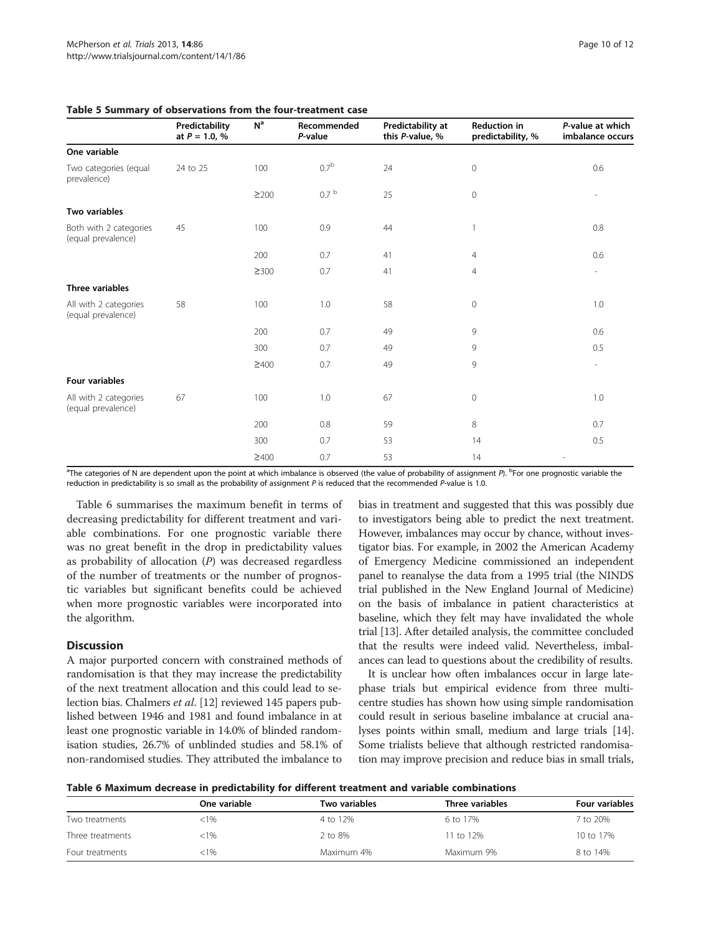<span id="page-9-0"></span>

|  |  | Table 5 Summary of observations from the four-treatment case |
|--|--|--------------------------------------------------------------|
|--|--|--------------------------------------------------------------|

|                                                   | Predictability<br>at $P = 1.0, %$ | N <sup>a</sup> | Recommended<br>P-value | Predictability at<br>this P-value, % | <b>Reduction in</b><br>predictability, % | P-value at which<br>imbalance occurs |
|---------------------------------------------------|-----------------------------------|----------------|------------------------|--------------------------------------|------------------------------------------|--------------------------------------|
| One variable                                      |                                   |                |                        |                                      |                                          |                                      |
| Two categories (equal<br>prevalence)              | 24 to 25                          | 100            | 0.7 <sup>b</sup>       | 24                                   | $\mathbf{0}$                             | 0.6                                  |
|                                                   |                                   | $\geq$ 200     | 0.7h                   | 25                                   | $\mathbf 0$                              | ۰                                    |
| Two variables                                     |                                   |                |                        |                                      |                                          |                                      |
| Both with 2 categories<br>(equal prevalence)      | 45                                | 100            | 0.9                    | 44                                   | $\mathbf{1}$                             | 0.8                                  |
|                                                   |                                   | 200            | 0.7                    | 41                                   | $\overline{4}$                           | 0.6                                  |
|                                                   |                                   | $\geq$ 300     | 0.7                    | 41                                   | 4                                        | $\overline{\phantom{a}}$             |
| <b>Three variables</b>                            |                                   |                |                        |                                      |                                          |                                      |
| 58<br>All with 2 categories<br>(equal prevalence) |                                   | 100            | 1.0                    | 58                                   | $\mathbf{0}$                             | 1.0                                  |
|                                                   |                                   | 200            | 0.7                    | 49                                   | 9                                        | 0.6                                  |
|                                                   |                                   | 300            | 0.7                    | 49                                   | 9                                        | 0.5                                  |
|                                                   |                                   | $\geq 400$     | 0.7                    | 49                                   | 9                                        | $\overline{\phantom{a}}$             |
| <b>Four variables</b>                             |                                   |                |                        |                                      |                                          |                                      |
| All with 2 categories<br>(equal prevalence)       | 67                                | 100            | 1.0                    | 67                                   | $\mathbf 0$                              | 1.0                                  |
|                                                   |                                   | 200            | 0.8                    | 59                                   | 8                                        | 0.7                                  |
|                                                   |                                   | 300            | 0.7                    | 53                                   | 14                                       | 0.5                                  |
|                                                   |                                   | $\geq 400$     | 0.7                    | 53                                   | 14                                       |                                      |

<sup>a</sup>The categories of N are dependent upon the point at which imbalance is observed (the value of probability of assignment P). <sup>b</sup>For one prognostic variable the reduction in predictability is so small as the probability of assignment  $P$  is reduced that the recommended  $P$ -value is 1.0.

Table 6 summarises the maximum benefit in terms of decreasing predictability for different treatment and variable combinations. For one prognostic variable there was no great benefit in the drop in predictability values as probability of allocation  $(P)$  was decreased regardless of the number of treatments or the number of prognostic variables but significant benefits could be achieved when more prognostic variables were incorporated into the algorithm.

# **Discussion**

A major purported concern with constrained methods of randomisation is that they may increase the predictability of the next treatment allocation and this could lead to selection bias. Chalmers et al. [[12](#page-11-0)] reviewed 145 papers published between 1946 and 1981 and found imbalance in at least one prognostic variable in 14.0% of blinded randomisation studies, 26.7% of unblinded studies and 58.1% of non-randomised studies. They attributed the imbalance to

bias in treatment and suggested that this was possibly due to investigators being able to predict the next treatment. However, imbalances may occur by chance, without investigator bias. For example, in 2002 the American Academy of Emergency Medicine commissioned an independent panel to reanalyse the data from a 1995 trial (the NINDS trial published in the New England Journal of Medicine) on the basis of imbalance in patient characteristics at baseline, which they felt may have invalidated the whole trial [\[13](#page-11-0)]. After detailed analysis, the committee concluded that the results were indeed valid. Nevertheless, imbalances can lead to questions about the credibility of results.

It is unclear how often imbalances occur in large latephase trials but empirical evidence from three multicentre studies has shown how using simple randomisation could result in serious baseline imbalance at crucial analyses points within small, medium and large trials [[14](#page-11-0)]. Some trialists believe that although restricted randomisation may improve precision and reduce bias in small trials,

Table 6 Maximum decrease in predictability for different treatment and variable combinations

|                  | One variable | Two variables | Three variables | <b>Four variables</b> |  |  |  |
|------------------|--------------|---------------|-----------------|-----------------------|--|--|--|
| Two treatments   | < 1%         | 4 to 12%      | 6 to 17%        | 7 to 20%              |  |  |  |
| Three treatments | $< 1\%$      | 2 to 8%       | 11 to 12%       | 10 to 17%             |  |  |  |
| Four treatments  | < 1%         | Maximum 4%    | Maximum 9%      | 8 to 14%              |  |  |  |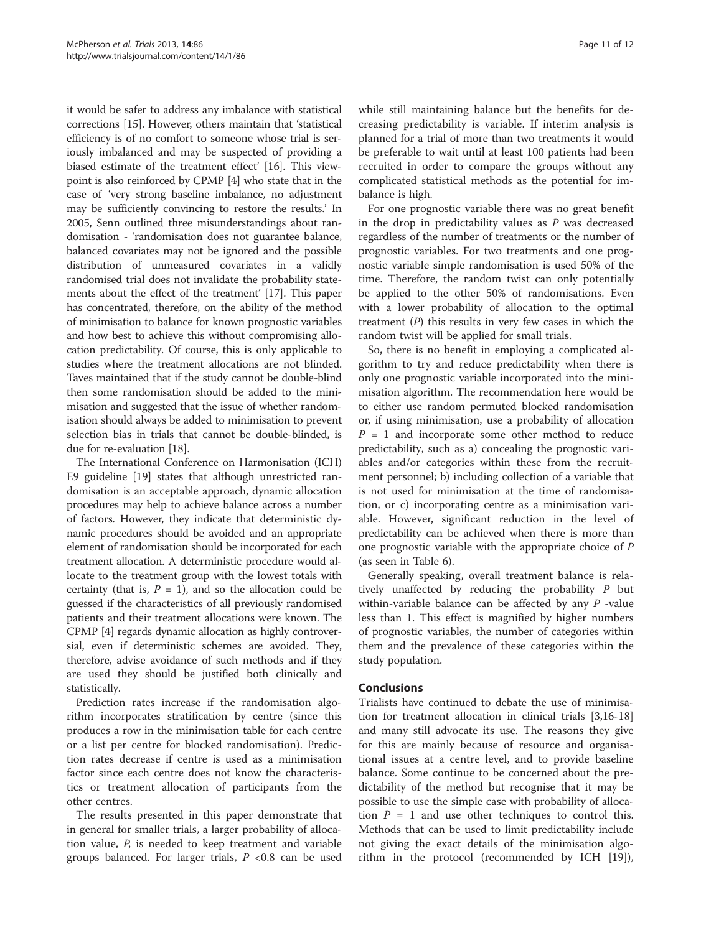it would be safer to address any imbalance with statistical corrections [[15](#page-11-0)]. However, others maintain that 'statistical efficiency is of no comfort to someone whose trial is seriously imbalanced and may be suspected of providing a biased estimate of the treatment effect' [[16](#page-11-0)]. This viewpoint is also reinforced by CPMP [\[4](#page-11-0)] who state that in the case of 'very strong baseline imbalance, no adjustment may be sufficiently convincing to restore the results.' In 2005, Senn outlined three misunderstandings about randomisation - 'randomisation does not guarantee balance, balanced covariates may not be ignored and the possible distribution of unmeasured covariates in a validly randomised trial does not invalidate the probability statements about the effect of the treatment' [\[17\]](#page-11-0). This paper has concentrated, therefore, on the ability of the method of minimisation to balance for known prognostic variables and how best to achieve this without compromising allocation predictability. Of course, this is only applicable to studies where the treatment allocations are not blinded. Taves maintained that if the study cannot be double-blind then some randomisation should be added to the minimisation and suggested that the issue of whether randomisation should always be added to minimisation to prevent selection bias in trials that cannot be double-blinded, is due for re-evaluation [\[18\]](#page-11-0).

The International Conference on Harmonisation (ICH) E9 guideline [[19\]](#page-11-0) states that although unrestricted randomisation is an acceptable approach, dynamic allocation procedures may help to achieve balance across a number of factors. However, they indicate that deterministic dynamic procedures should be avoided and an appropriate element of randomisation should be incorporated for each treatment allocation. A deterministic procedure would allocate to the treatment group with the lowest totals with certainty (that is,  $P = 1$ ), and so the allocation could be guessed if the characteristics of all previously randomised patients and their treatment allocations were known. The CPMP [\[4\]](#page-11-0) regards dynamic allocation as highly controversial, even if deterministic schemes are avoided. They, therefore, advise avoidance of such methods and if they are used they should be justified both clinically and statistically.

Prediction rates increase if the randomisation algorithm incorporates stratification by centre (since this produces a row in the minimisation table for each centre or a list per centre for blocked randomisation). Prediction rates decrease if centre is used as a minimisation factor since each centre does not know the characteristics or treatment allocation of participants from the other centres.

The results presented in this paper demonstrate that in general for smaller trials, a larger probability of allocation value,  $P$ , is needed to keep treatment and variable groups balanced. For larger trials,  $P < 0.8$  can be used while still maintaining balance but the benefits for decreasing predictability is variable. If interim analysis is planned for a trial of more than two treatments it would be preferable to wait until at least 100 patients had been recruited in order to compare the groups without any complicated statistical methods as the potential for imbalance is high.

For one prognostic variable there was no great benefit in the drop in predictability values as  $P$  was decreased regardless of the number of treatments or the number of prognostic variables. For two treatments and one prognostic variable simple randomisation is used 50% of the time. Therefore, the random twist can only potentially be applied to the other 50% of randomisations. Even with a lower probability of allocation to the optimal treatment  $(P)$  this results in very few cases in which the random twist will be applied for small trials.

So, there is no benefit in employing a complicated algorithm to try and reduce predictability when there is only one prognostic variable incorporated into the minimisation algorithm. The recommendation here would be to either use random permuted blocked randomisation or, if using minimisation, use a probability of allocation  $P = 1$  and incorporate some other method to reduce predictability, such as a) concealing the prognostic variables and/or categories within these from the recruitment personnel; b) including collection of a variable that is not used for minimisation at the time of randomisation, or c) incorporating centre as a minimisation variable. However, significant reduction in the level of predictability can be achieved when there is more than one prognostic variable with the appropriate choice of P (as seen in Table [6\)](#page-9-0).

Generally speaking, overall treatment balance is relatively unaffected by reducing the probability  $P$  but within-variable balance can be affected by any  $P$ -value less than 1. This effect is magnified by higher numbers of prognostic variables, the number of categories within them and the prevalence of these categories within the study population.

# Conclusions

Trialists have continued to debate the use of minimisation for treatment allocation in clinical trials [\[3,16](#page-11-0)-[18](#page-11-0)] and many still advocate its use. The reasons they give for this are mainly because of resource and organisational issues at a centre level, and to provide baseline balance. Some continue to be concerned about the predictability of the method but recognise that it may be possible to use the simple case with probability of allocation  $P = 1$  and use other techniques to control this. Methods that can be used to limit predictability include not giving the exact details of the minimisation algorithm in the protocol (recommended by ICH [\[19](#page-11-0)]),